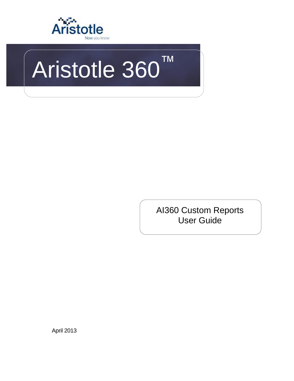

# Aristotle 360™

AI360 Custom Reports User Guide

April 2013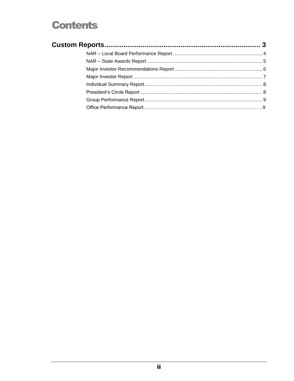## **Contents**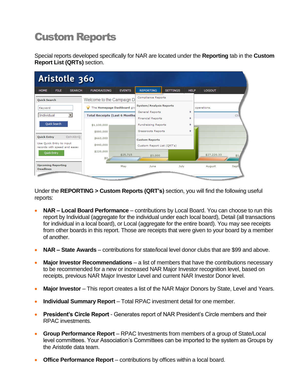# <span id="page-2-0"></span>Custom Reports

Special reports developed specifically for NAR are located under the **Reporting** tab in the **Custom Report List (QRTs)** section.

| Aristotle 360                                            |                                                                                                                                                                                                                                |               |                                             |                 |             |                                                                                                                                                                                                                                |      |
|----------------------------------------------------------|--------------------------------------------------------------------------------------------------------------------------------------------------------------------------------------------------------------------------------|---------------|---------------------------------------------|-----------------|-------------|--------------------------------------------------------------------------------------------------------------------------------------------------------------------------------------------------------------------------------|------|
| <b>HOME</b><br><b>FILE</b><br><b>SEARCH</b>              | <b>FUNDRAISING</b>                                                                                                                                                                                                             | <b>EVENTS</b> | <b>REPORTING</b>                            | <b>SETTINGS</b> | <b>HELP</b> | <b>LOGOUT</b>                                                                                                                                                                                                                  |      |
| Quick Search                                             | Welcome to the Campaign D                                                                                                                                                                                                      |               | Compliance Reports                          |                 |             |                                                                                                                                                                                                                                |      |
| Keyword                                                  | The Homepage Dashboard giv<br>$\mathbf{\varphi}$                                                                                                                                                                               |               | <b>System/Analysis Reports</b>              |                 |             | operations.                                                                                                                                                                                                                    |      |
| Individual<br>$\blacktriangledown$                       | <b>Total Receipts (Last 6 Months)</b>                                                                                                                                                                                          |               | General Reports<br><b>Financial Reports</b> |                 | ۰<br>۰      |                                                                                                                                                                                                                                | Clic |
| Quick Search                                             | \$1,100,000                                                                                                                                                                                                                    |               | <b>Fundraising Reports</b>                  |                 | ۰           |                                                                                                                                                                                                                                |      |
|                                                          | \$880,000                                                                                                                                                                                                                      |               | Grassroots Reports                          |                 | ۰           |                                                                                                                                                                                                                                |      |
| Ctrl+Alt+O<br><b>Quick Entry</b>                         | \$660,000                                                                                                                                                                                                                      |               | <b>Custom Reports</b>                       |                 |             |                                                                                                                                                                                                                                |      |
| Use Quick Entry to input<br>records with speed and ease: | \$440,000                                                                                                                                                                                                                      |               | Custom Report List (QRT's)                  |                 |             |                                                                                                                                                                                                                                |      |
| Quick Entry                                              | \$220,000<br>\$0,                                                                                                                                                                                                              | \$25,715      | \$3,000                                     |                 |             | \$27,220.33                                                                                                                                                                                                                    | \$1  |
| <b>Upcoming Reporting</b>                                |                                                                                                                                                                                                                                | May           | June                                        | July            |             | August                                                                                                                                                                                                                         | Sept |
| <b>Deadlines</b>                                         | and a second contract of the contract of the contract of the contract of the contract of the contract of the contract of the contract of the contract of the contract of the contract of the contract of the contract of the c |               |                                             |                 |             | the contract of the contract of the contract of the contract of the contract of the contract of the contract of the contract of the contract of the contract of the contract of the contract of the contract of the contract o |      |

Under the **REPORTING > Custom Reports (QRT's)** section, you will find the following useful reports:

- **NAR – Local Board Performance** contributions by Local Board. You can choose to run this report by Individual (aggregate for the individual under each local board), Detail (all transactions for individual in a local board), or Local (aggregate for the entire board). You may see receipts from other boards in this report. Those are receipts that were given to your board by a member of another.
- **NAR – State Awards**  contributions for state/local level donor clubs that are \$99 and above.
- **Major Investor Recommendations**  a list of members that have the contributions necessary to be recommended for a new or increased NAR Major Investor recognition level, based on receipts, previous NAR Major Investor Level and current NAR Investor Donor level.
- **Major Investor** This report creates a list of the NAR Major Donors by State, Level and Years.
- **Individual Summary Report**  Total RPAC investment detail for one member.
- **President's Circle Report** Generates report of NAR President's Circle members and their RPAC investments.
- **Group Performance Report** RPAC Investments from members of a group of State/Local level committees. Your Association's Committees can be imported to the system as Groups by the Aristotle data team.
- **Office Performance Report** contributions by offices within a local board.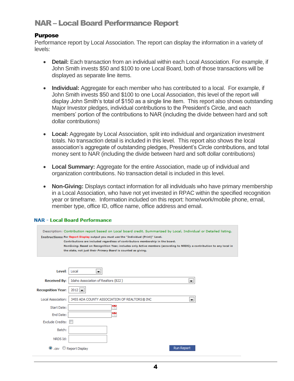## <span id="page-3-0"></span>NAR – Local Board Performance Report

#### **Purpose**

Performance report by Local Association. The report can display the information in a variety of levels:

- **Detail:** Each transaction from an individual within each Local Association. For example, if John Smith invests \$50 and \$100 to one Local Board, both of those transactions will be displayed as separate line items.
- **Individual:** Aggregate for each member who has contributed to a local. For example, if John Smith invests \$50 and \$100 to one Local Association, this level of the report will display John Smith's total of \$150 as a single line item. This report also shows outstanding Major Investor pledges, individual contributions to the President's Circle, and each members' portion of the contributions to NAR (including the divide between hard and soft dollar contributions)
- **Local:** Aggregate by Local Association, split into individual and organization investment totals. No transaction detail is included in this level. This report also shows the local association's aggregate of outstanding pledges, President's Circle contributions, and total money sent to NAR (including the divide between hard and soft dollar contributions)
- **Local Summary:** Aggregate for the entire Association, made up of individual and organization contributions. No transaction detail is included in this level.
- **Non-Giving:** Displays contact information for all individuals who have primary membership in a Local Association, who have not yet invested in RPAC within the specified recognition year or timeframe. Information included on this report: home/work/mobile phone, email, member type, office ID, office name, office address and email.

#### **NAR - Local Board Performance**

| Description: Contribution report based on Local board credit. Summarized by Local, Individual or Detailed listing.<br>Instructions: For Report Display output you must use the "Individual (Print)" Level.<br>Contributions are included regardless of contributors membership in the board.<br>NonGiving: Based on Recognition Year; includes only Active members (according to NRDS); a contribution to any local in<br>the state, not just their Primary Board is counted as giving. |                                                                      |  |  |
|-----------------------------------------------------------------------------------------------------------------------------------------------------------------------------------------------------------------------------------------------------------------------------------------------------------------------------------------------------------------------------------------------------------------------------------------------------------------------------------------|----------------------------------------------------------------------|--|--|
| Level:                                                                                                                                                                                                                                                                                                                                                                                                                                                                                  | Local<br>$\blacktriangledown$                                        |  |  |
| <b>Received By:</b>                                                                                                                                                                                                                                                                                                                                                                                                                                                                     | Idaho Association of Realtors (822)<br>×.                            |  |  |
| <b>Recognition Year:</b>                                                                                                                                                                                                                                                                                                                                                                                                                                                                | $2012$ $\rightarrow$                                                 |  |  |
| Local Association:                                                                                                                                                                                                                                                                                                                                                                                                                                                                      | 3455 ADA COUNTY ASSOCIATION OF REALTORS® INC<br>$\blacktriangledown$ |  |  |
| Start Date:                                                                                                                                                                                                                                                                                                                                                                                                                                                                             | 쀣                                                                    |  |  |
| End Date:                                                                                                                                                                                                                                                                                                                                                                                                                                                                               | 쀣                                                                    |  |  |
| <b>Exclude Credits:</b>                                                                                                                                                                                                                                                                                                                                                                                                                                                                 |                                                                      |  |  |
| Batch:                                                                                                                                                                                                                                                                                                                                                                                                                                                                                  |                                                                      |  |  |
| NRDS Id:                                                                                                                                                                                                                                                                                                                                                                                                                                                                                |                                                                      |  |  |
| $\bullet$ .csv $\circ$                                                                                                                                                                                                                                                                                                                                                                                                                                                                  | <b>Run Report</b><br><b>Report Display</b>                           |  |  |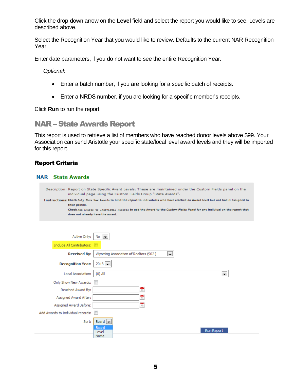Click the drop-down arrow on the **Level** field and select the report you would like to see. Levels are described above.

Select the Recognition Year that you would like to review. Defaults to the current NAR Recognition Year.

Enter date parameters, if you do not want to see the entire Recognition Year.

*Optional:*

- Enter a batch number, if you are looking for a specific batch of receipts.
- Enter a NRDS number, if you are looking for a specific member's receipts.

Click **Run** to run the report.

## <span id="page-4-0"></span>NAR – State Awards Report

This report is used to retrieve a list of members who have reached donor levels above \$99. Your Association can send Aristotle your specific state/local level award levels and they will be imported for this report.

#### Report Criteria

#### **NAR - State Awards**

Description: Report on State Specific Award Levels. These are maintained under the Custom Fields panel on the individual page using the Custom Fields Group "State Awards". Instructions: Check only Show New Awards to limit the report to individuals who have reached an Award level but not had it assigned to their profile. Check Add Awards to Individual Records to add the Award to the Custom Fields Panel for any indiviual on the report that does not already have the award.

| Active Only:                      | No<br>E                                     |
|-----------------------------------|---------------------------------------------|
| Include All Contributors:         |                                             |
| <b>Received By:</b>               | Wyoming Association of Realtors (902)<br>×. |
| <b>Recognition Year:</b>          | $2013$ $\rightarrow$                        |
| Local Association:                | $(0)$ All<br>$\overline{\phantom{a}}$       |
| Only Show New Awards:             | <b>In the local division</b>                |
| Reached Award By:                 | $\frac{1}{12}$                              |
| Assigned Award After:             | $\frac{1}{17}$                              |
| Assigned Award Before:            | $\frac{1}{12}$                              |
| Add Awards to Individual records: |                                             |
| Sort:                             | Board $\vert \bullet \vert$                 |
|                                   | <b>Board</b><br><b>Run Report</b><br>Level  |
|                                   | Name                                        |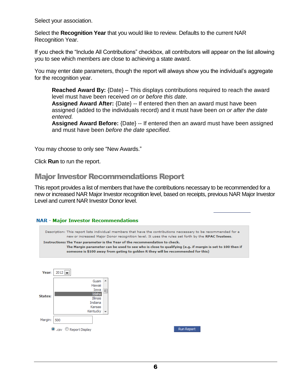Select your association.

Select the **Recognition Year** that you would like to review. Defaults to the current NAR Recognition Year.

If you check the "Include All Contributions" checkbox, all contributors will appear on the list allowing you to see which members are close to achieving a state award.

You may enter date parameters, though the report will always show you the individual's aggregate for the recognition year.

**Reached Award By:** {Date} – This displays contributions required to reach the award level must have been received *on or before this date*.

**Assigned Award After:** {Date} -- If entered then then an award must have been assigned (added to the individuals record) and it must have been *on or after the date entered.*

**Assigned Award Before:** {Date} -- If entered then an award must have been assigned and must have been *before the date specified*.

You may choose to only see "New Awards."

Click **Run** to run the report.

## <span id="page-5-0"></span>Major Investor Recommendations Report

This report provides a list of members that have the contributions necessary to be recommended for a new or increased NAR Major Investor recognition level, based on receipts, previous NAR Major Investor Level and current NAR Investor Donor level.

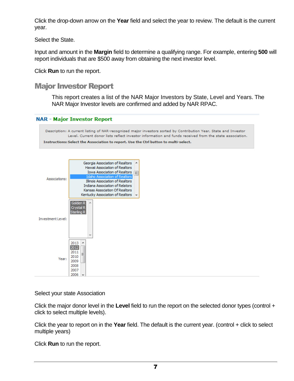Click the drop-down arrow on the **Year** field and select the year to review. The default is the current year.

Select the State.

Input and amount in the **Margin** field to determine a qualifying range. For example, entering **500** will report individuals that are \$500 away from obtaining the next investor level.

Click **Run** to run the report.

## <span id="page-6-0"></span>Major Investor Report

This report creates a list of the NAR Major Investors by State, Level and Years. The NAR Major Investor levels are confirmed and added by NAR RPAC.





Select your state Association

Click the major donor level in the **Level** field to run the report on the selected donor types (control + click to select multiple levels).

Click the year to report on in the **Year** field. The default is the current year. (control + click to select multiple years)

Click **Run** to run the report.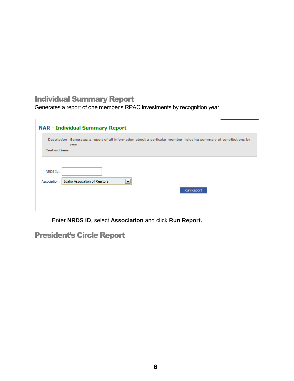## <span id="page-7-0"></span>Individual Summary Report

Ī.

Generates a report of one member's RPAC investments by recognition year.

|                          | <b>NAR - Individual Summary Report</b>                                                                                      |  |  |
|--------------------------|-----------------------------------------------------------------------------------------------------------------------------|--|--|
|                          | Description: Generates a report of all information about a particular member including summary of contributions by<br>year. |  |  |
| <b>Instructions:</b>     |                                                                                                                             |  |  |
| NRDS Id:<br>Association: | Idaho Association of Realtors<br>$\overline{\phantom{a}}$<br><b>Run Report</b>                                              |  |  |

Enter **NRDS ID**, select **Association** and click **Run Report.**

## <span id="page-7-1"></span>President's Circle Report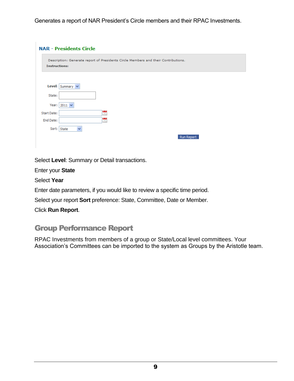Generates a report of NAR President's Circle members and their RPAC Investments.

|             | <b>NAR - Presidents Circle</b>                                                                             |  |  |
|-------------|------------------------------------------------------------------------------------------------------------|--|--|
|             | Description: Generate report of Presidents Circle Members and their Contributions.<br><b>Instructions:</b> |  |  |
|             | Level: Summary $\vee$                                                                                      |  |  |
| State:      |                                                                                                            |  |  |
|             | Year: $2011 \vee$                                                                                          |  |  |
| Start Date: | $\frac{1}{12}$                                                                                             |  |  |
| End Date:   | $\frac{1}{12}$                                                                                             |  |  |
|             | $\checkmark$<br>Sort: State                                                                                |  |  |
|             | Run Report                                                                                                 |  |  |

Select **Level**: Summary or Detail transactions.

Enter your **State**

Select **Year**

Enter date parameters, if you would like to review a specific time period.

Select your report **Sort** preference: State, Committee, Date or Member.

Click **Run Report**.

## <span id="page-8-0"></span>Group Performance Report

RPAC Investments from members of a group or State/Local level committees. Your Association's Committees can be imported to the system as Groups by the Aristotle team.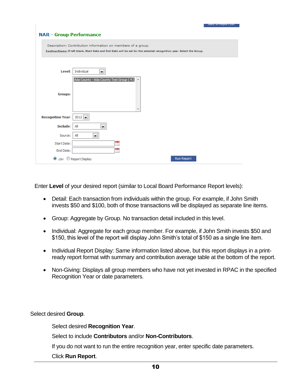| <b>NAR - Group Performance</b> |                                                                                                                                                                                       |
|--------------------------------|---------------------------------------------------------------------------------------------------------------------------------------------------------------------------------------|
|                                | Description: Contribution information on members of a group.<br>Instructions: If left blank, Start Date and End Date will be set for the selected recognition year. Select the Group. |
| Level:                         | Individual<br>$\blacktriangledown$                                                                                                                                                    |
| <b>Groups:</b>                 | Ada County - Ada County Test Group (4)                                                                                                                                                |
| <b>Recognition Year:</b>       | $2012$ $\rightarrow$                                                                                                                                                                  |
| <b>Include:</b>                | All<br>$\blacksquare$                                                                                                                                                                 |
| Source:                        | All<br>$\blacktriangledown$                                                                                                                                                           |
| Start Date:                    | $\frac{1}{12}$                                                                                                                                                                        |
| End Date:                      | ÷                                                                                                                                                                                     |
|                                | Run Report<br>● .csv ● Report Display                                                                                                                                                 |

Enter **Level** of your desired report (similar to Local Board Performance Report levels):

- Detail: Each transaction from individuals within the group. For example, if John Smith invests \$50 and \$100, both of those transactions will be displayed as separate line items.
- Group: Aggregate by Group. No transaction detail included in this level.
- Individual: Aggregate for each group member. For example, if John Smith invests \$50 and \$150, this level of the report will display John Smith's total of \$150 as a single line item.
- Individual Report Display: Same information listed above, but this report displays in a printready report format with summary and contribution average table at the bottom of the report.
- Non-Giving: Displays all group members who have not yet invested in RPAC in the specified Recognition Year or date parameters.

Select desired **Group**.

Select desired **Recognition Year**.

Select to include **Contributors** and/or **Non-Contributors**.

If you do not want to run the entire recognition year, enter specific date parameters.

Click **Run Report**.